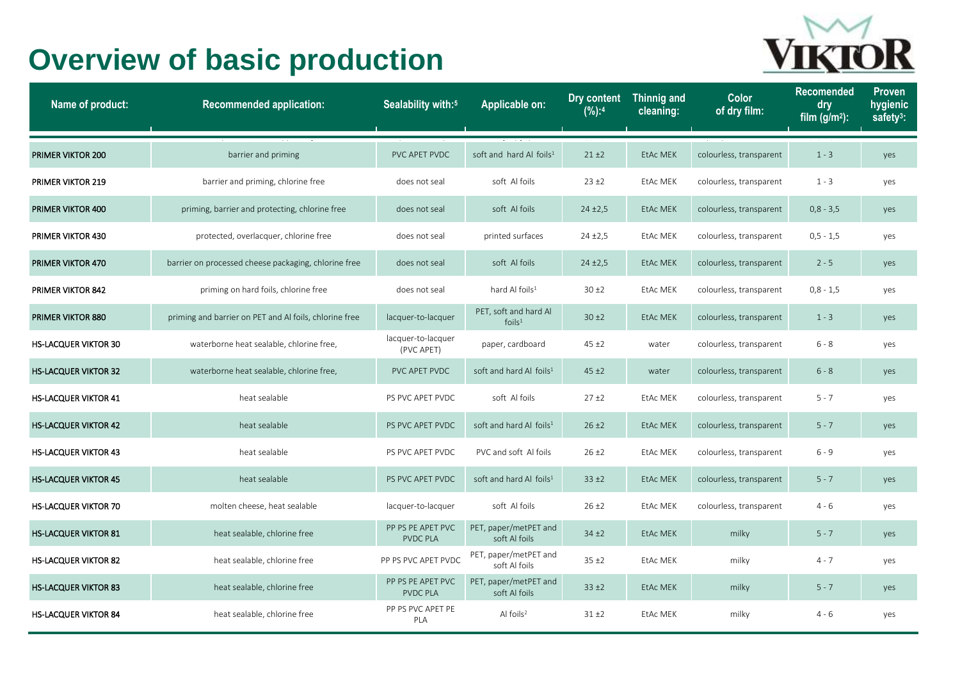## **Overview of basic production**



| Name of product:            | <b>Recommended application:</b>                        | Sealability with: <sup>5</sup>       | Applicable on:                              | Dry content<br>(%):4 | <b>Thinnig and</b><br>cleaning: | Color<br>of dry film:   | <b>Recomended</b><br>dry<br>film $(g/m2)$ : | <b>Proven</b><br>hygienic<br>safety <sup>3</sup> : |
|-----------------------------|--------------------------------------------------------|--------------------------------------|---------------------------------------------|----------------------|---------------------------------|-------------------------|---------------------------------------------|----------------------------------------------------|
| PRIMER VIKTOR 200           | barrier and priming                                    | PVC APET PVDC                        | soft and hard Al foils <sup>1</sup>         | $21 + 2$             | EtAc MEK                        | colourless, transparent | $1 - 3$                                     | yes                                                |
| <b>PRIMER VIKTOR 219</b>    | barrier and priming, chlorine free                     | does not seal                        | soft Al foils                               | $23 + 2$             | EtAc MEK                        | colourless, transparent | $1 - 3$                                     | yes                                                |
| <b>PRIMER VIKTOR 400</b>    | priming, barrier and protecting, chlorine free         | does not seal                        | soft Al foils                               | $24 + 2,5$           | <b>EtAc MEK</b>                 | colourless, transparent | $0,8 - 3,5$                                 | yes                                                |
| <b>PRIMER VIKTOR 430</b>    | protected, overlacquer, chlorine free                  | does not seal                        | printed surfaces                            | $24 + 2.5$           | EtAc MEK                        | colourless, transparent | $0, 5 - 1, 5$                               | yes                                                |
| <b>PRIMER VIKTOR 470</b>    | barrier on processed cheese packaging, chlorine free   | does not seal                        | soft Al foils                               | $24 \pm 2.5$         | EtAc MEK                        | colourless, transparent | $2 - 5$                                     | yes                                                |
| <b>PRIMER VIKTOR 842</b>    | priming on hard foils, chlorine free                   | does not seal                        | hard Al foils <sup>1</sup>                  | 30±2                 | EtAc MEK                        | colourless, transparent | $0,8 - 1,5$                                 | yes                                                |
| <b>PRIMER VIKTOR 880</b>    | priming and barrier on PET and Al foils, chlorine free | lacquer-to-lacquer                   | PET, soft and hard Al<br>foils <sup>1</sup> | $30 \pm 2$           | <b>EtAc MEK</b>                 | colourless, transparent | $1 - 3$                                     | yes                                                |
| <b>HS-LACQUER VIKTOR 30</b> | waterborne heat sealable, chlorine free,               | lacquer-to-lacquer<br>(PVC APET)     | paper, cardboard                            | $45 + 2$             | water                           | colourless, transparent | $6 - 8$                                     | yes                                                |
| <b>HS-LACQUER VIKTOR 32</b> | waterborne heat sealable, chlorine free,               | PVC APET PVDC                        | soft and hard Al foils <sup>1</sup>         | 45±2                 | water                           | colourless, transparent | $6 - 8$                                     | yes                                                |
| <b>HS-LACQUER VIKTOR 41</b> | heat sealable                                          | PS PVC APET PVDC                     | soft Al foils                               | 27±2                 | <b>EtAc MEK</b>                 | colourless, transparent | $5 - 7$                                     | yes                                                |
| <b>HS-LACQUER VIKTOR 42</b> | heat sealable                                          | PS PVC APET PVDC                     | soft and hard Al foils <sup>1</sup>         | $26 \pm 2$           | EtAc MEK                        | colourless, transparent | $5 - 7$                                     | yes                                                |
| <b>HS-LACQUER VIKTOR 43</b> | heat sealable                                          | PS PVC APET PVDC                     | PVC and soft Al foils                       | $26 \pm 2$           | <b>EtAc MEK</b>                 | colourless, transparent | $6 - 9$                                     | yes                                                |
| <b>HS-LACQUER VIKTOR 45</b> | heat sealable                                          | PS PVC APET PVDC                     | soft and hard Al foils <sup>1</sup>         | $33 + 2$             | EtAc MEK                        | colourless, transparent | $5 - 7$                                     | yes                                                |
| <b>HS-LACQUER VIKTOR 70</b> | molten cheese, heat sealable                           | lacquer-to-lacquer                   | soft Al foils                               | $26 \pm 2$           | EtAc MEK                        | colourless, transparent | $4 - 6$                                     | yes                                                |
| <b>HS-LACQUER VIKTOR 81</b> | heat sealable, chlorine free                           | PP PS PE APET PVC<br><b>PVDC PLA</b> | PET, paper/metPET and<br>soft Al foils      | $34 + 2$             | EtAc MEK                        | milky                   | $5 - 7$                                     | yes                                                |
| <b>HS-LACQUER VIKTOR 82</b> | heat sealable, chlorine free                           | PP PS PVC APET PVDC                  | PET, paper/metPET and<br>soft Al foils      | $35 + 2$             | EtAc MEK                        | milky                   | $4 - 7$                                     | yes                                                |
| <b>HS-LACQUER VIKTOR 83</b> | heat sealable, chlorine free                           | PP PS PE APET PVC<br>PVDC PLA        | PET, paper/metPET and<br>soft Al foils      | $33 + 2$             | EtAc MEK                        | milky                   | $5 - 7$                                     | yes                                                |
| <b>HS-LACQUER VIKTOR 84</b> | heat sealable, chlorine free                           | PP PS PVC APET PE<br>PLA             | Al foils <sup>2</sup>                       | $31 + 2$             | EtAc MEK                        | milky                   | $4 - 6$                                     | yes                                                |